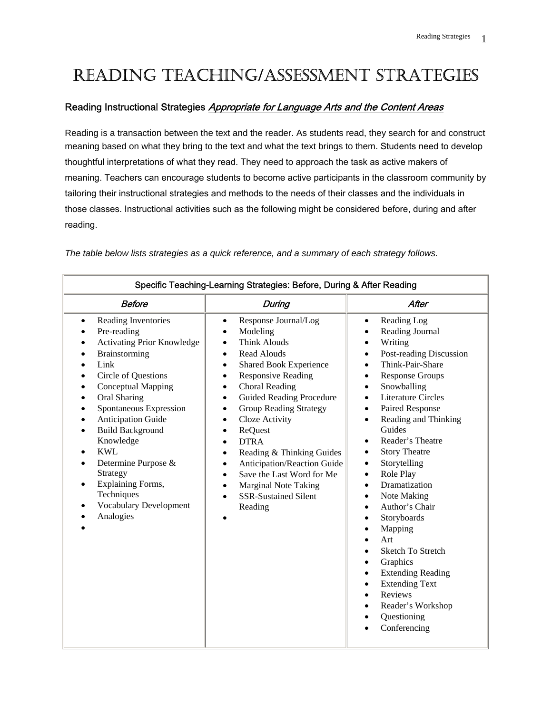# READING TEACHING/ASSESSMENT STRATEGIES

#### Reading Instructional Strategies Appropriate for Language Arts and the Content Areas

Reading is a transaction between the text and the reader. As students read, they search for and construct meaning based on what they bring to the text and what the text brings to them. Students need to develop thoughtful interpretations of what they read. They need to approach the task as active makers of meaning. Teachers can encourage students to become active participants in the classroom community by tailoring their instructional strategies and methods to the needs of their classes and the individuals in those classes. Instructional activities such as the following might be considered before, during and after reading.

| Specific Teaching-Learning Strategies: Before, During & After Reading                                                                                                                                                                                                                                                                                                                                                                                            |                                                                                                                                                                                                                                                                                                                                                                                                                                                                                                                                                                                                                  |                                                                                                                                                                                                                                                                                                                                                                                                                                                                                                                                                                                                                                                                                                                                                                                                                                                                                                            |  |
|------------------------------------------------------------------------------------------------------------------------------------------------------------------------------------------------------------------------------------------------------------------------------------------------------------------------------------------------------------------------------------------------------------------------------------------------------------------|------------------------------------------------------------------------------------------------------------------------------------------------------------------------------------------------------------------------------------------------------------------------------------------------------------------------------------------------------------------------------------------------------------------------------------------------------------------------------------------------------------------------------------------------------------------------------------------------------------------|------------------------------------------------------------------------------------------------------------------------------------------------------------------------------------------------------------------------------------------------------------------------------------------------------------------------------------------------------------------------------------------------------------------------------------------------------------------------------------------------------------------------------------------------------------------------------------------------------------------------------------------------------------------------------------------------------------------------------------------------------------------------------------------------------------------------------------------------------------------------------------------------------------|--|
| <b>Before</b>                                                                                                                                                                                                                                                                                                                                                                                                                                                    | During                                                                                                                                                                                                                                                                                                                                                                                                                                                                                                                                                                                                           | After                                                                                                                                                                                                                                                                                                                                                                                                                                                                                                                                                                                                                                                                                                                                                                                                                                                                                                      |  |
| Reading Inventories<br>$\bullet$<br>Pre-reading<br>$\bullet$<br><b>Activating Prior Knowledge</b><br>Brainstorming<br>Link<br><b>Circle of Questions</b><br>Conceptual Mapping<br>Oral Sharing<br>Spontaneous Expression<br><b>Anticipation Guide</b><br><b>Build Background</b><br>$\bullet$<br>Knowledge<br><b>KWL</b><br>Determine Purpose &<br>Strategy<br><b>Explaining Forms,</b><br>$\bullet$<br>Techniques<br><b>Vocabulary Development</b><br>Analogies | Response Journal/Log<br>$\bullet$<br>Modeling<br>$\bullet$<br><b>Think Alouds</b><br>Read Alouds<br>$\bullet$<br><b>Shared Book Experience</b><br>$\bullet$<br><b>Responsive Reading</b><br>$\bullet$<br><b>Choral Reading</b><br>$\bullet$<br><b>Guided Reading Procedure</b><br>$\bullet$<br><b>Group Reading Strategy</b><br>$\bullet$<br>Cloze Activity<br>٠<br>ReQuest<br>$\bullet$<br><b>DTRA</b><br>Reading & Thinking Guides<br>$\bullet$<br>Anticipation/Reaction Guide<br>$\bullet$<br>Save the Last Word for Me<br><b>Marginal Note Taking</b><br>$\bullet$<br><b>SSR-Sustained Silent</b><br>Reading | Reading Log<br>$\bullet$<br>Reading Journal<br>$\bullet$<br>Writing<br>$\bullet$<br>Post-reading Discussion<br>$\bullet$<br>Think-Pair-Share<br>$\bullet$<br><b>Response Groups</b><br>$\bullet$<br>Snowballing<br>$\bullet$<br><b>Literature Circles</b><br>$\bullet$<br>Paired Response<br>$\bullet$<br>Reading and Thinking<br>$\bullet$<br>Guides<br>Reader's Theatre<br>$\bullet$<br><b>Story Theatre</b><br>$\bullet$<br>Storytelling<br>$\bullet$<br>Role Play<br>$\bullet$<br>Dramatization<br>$\bullet$<br>Note Making<br>$\bullet$<br>Author's Chair<br>$\bullet$<br>Storyboards<br>$\bullet$<br>Mapping<br>$\bullet$<br>Art<br>$\bullet$<br><b>Sketch To Stretch</b><br>$\bullet$<br>Graphics<br>$\bullet$<br><b>Extending Reading</b><br>$\bullet$<br><b>Extending Text</b><br>$\bullet$<br>Reviews<br>$\bullet$<br>Reader's Workshop<br>$\bullet$<br>Questioning<br>$\bullet$<br>Conferencing |  |

*The table below lists strategies as a quick reference, and a summary of each strategy follows.*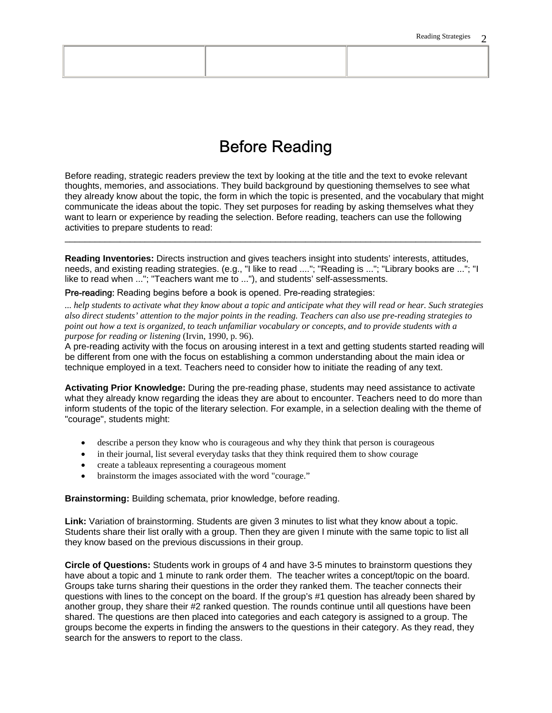### Before Reading

Before reading, strategic readers preview the text by looking at the title and the text to evoke relevant thoughts, memories, and associations. They build background by questioning themselves to see what they already know about the topic, the form in which the topic is presented, and the vocabulary that might communicate the ideas about the topic. They set purposes for reading by asking themselves what they want to learn or experience by reading the selection. Before reading, teachers can use the following activities to prepare students to read:

**Reading Inventories:** Directs instruction and gives teachers insight into students' interests, attitudes, needs, and existing reading strategies. (e.g., "I like to read ...."; "Reading is ..."; "Library books are ..."; "I like to read when ..."; "Teachers want me to ..."), and students' self-assessments.

\_\_\_\_\_\_\_\_\_\_\_\_\_\_\_\_\_\_\_\_\_\_\_\_\_\_\_\_\_\_\_\_\_\_\_\_\_\_\_\_\_\_\_\_\_\_\_\_\_\_\_\_\_\_\_\_\_\_\_\_\_\_\_\_\_\_\_\_\_\_\_\_\_\_\_\_\_\_\_\_\_\_\_

Pre-reading: Reading begins before a book is opened. Pre-reading strategies:

*... help students to activate what they know about a topic and anticipate what they will read or hear. Such strategies also direct students' attention to the major points in the reading. Teachers can also use pre-reading strategies to point out how a text is organized, to teach unfamiliar vocabulary or concepts, and to provide students with a purpose for reading or listening* (Irvin, 1990, p. 96).

A pre-reading activity with the focus on arousing interest in a text and getting students started reading will be different from one with the focus on establishing a common understanding about the main idea or technique employed in a text. Teachers need to consider how to initiate the reading of any text.

**Activating Prior Knowledge:** During the pre-reading phase, students may need assistance to activate what they already know regarding the ideas they are about to encounter. Teachers need to do more than inform students of the topic of the literary selection. For example, in a selection dealing with the theme of "courage", students might:

- describe a person they know who is courageous and why they think that person is courageous
- in their journal, list several everyday tasks that they think required them to show courage
- create a tableaux representing a courageous moment
- brainstorm the images associated with the word "courage."

**Brainstorming:** Building schemata, prior knowledge, before reading.

**Link:** Variation of brainstorming. Students are given 3 minutes to list what they know about a topic. Students share their list orally with a group. Then they are given I minute with the same topic to list all they know based on the previous discussions in their group.

**Circle of Questions:** Students work in groups of 4 and have 3-5 minutes to brainstorm questions they have about a topic and 1 minute to rank order them. The teacher writes a concept/topic on the board. Groups take turns sharing their questions in the order they ranked them. The teacher connects their questions with lines to the concept on the board. If the group's #1 question has already been shared by another group, they share their #2 ranked question. The rounds continue until all questions have been shared. The questions are then placed into categories and each category is assigned to a group. The groups become the experts in finding the answers to the questions in their category. As they read, they search for the answers to report to the class.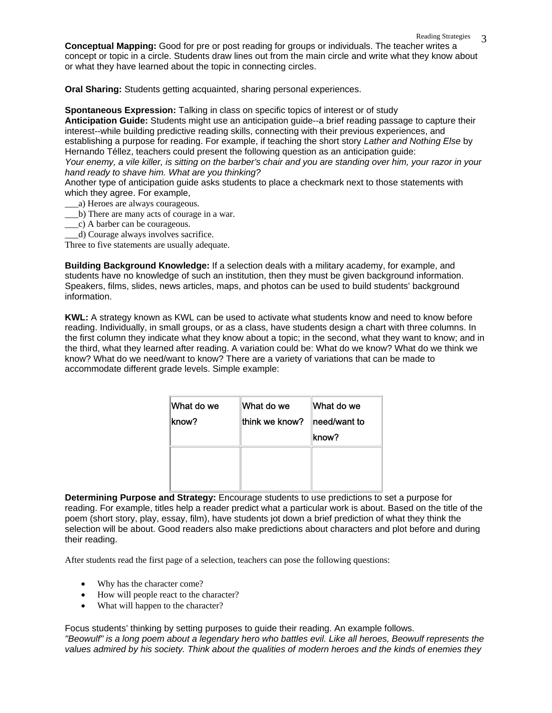Reading Strategies 3 **Conceptual Mapping:** Good for pre or post reading for groups or individuals. The teacher writes a concept or topic in a circle. Students draw lines out from the main circle and write what they know about or what they have learned about the topic in connecting circles.

**Oral Sharing:** Students getting acquainted, sharing personal experiences.

**Spontaneous Expression:** Talking in class on specific topics of interest or of study **Anticipation Guide:** Students might use an anticipation guide--a brief reading passage to capture their interest--while building predictive reading skills, connecting with their previous experiences, and establishing a purpose for reading. For example, if teaching the short story *Lather and Nothing Else* by Hernando Téllez, teachers could present the following question as an anticipation guide:

*Your enemy, a vile killer, is sitting on the barber's chair and you are standing over him, your razor in your hand ready to shave him. What are you thinking?*

Another type of anticipation guide asks students to place a checkmark next to those statements with which they agree. For example,

- \_\_\_a) Heroes are always courageous.
- \_\_\_b) There are many acts of courage in a war.
- \_\_\_c) A barber can be courageous.
- \_\_\_d) Courage always involves sacrifice.

Three to five statements are usually adequate.

**Building Background Knowledge:** If a selection deals with a military academy, for example, and students have no knowledge of such an institution, then they must be given background information. Speakers, films, slides, news articles, maps, and photos can be used to build students' background information.

**KWL:** A strategy known as KWL can be used to activate what students know and need to know before reading. Individually, in small groups, or as a class, have students design a chart with three columns. In the first column they indicate what they know about a topic; in the second, what they want to know; and in the third, what they learned after reading. A variation could be: What do we know? What do we think we know? What do we need/want to know? There are a variety of variations that can be made to accommodate different grade levels. Simple example:

| What do we<br>know? | What do we<br>lthink we know? | What do we<br>need/want to |
|---------------------|-------------------------------|----------------------------|
|                     |                               | know?                      |
|                     |                               |                            |
|                     |                               |                            |

**Determining Purpose and Strategy:** Encourage students to use predictions to set a purpose for reading. For example, titles help a reader predict what a particular work is about. Based on the title of the poem (short story, play, essay, film), have students jot down a brief prediction of what they think the selection will be about. Good readers also make predictions about characters and plot before and during their reading.

After students read the first page of a selection, teachers can pose the following questions:

- Why has the character come?
- How will people react to the character?
- What will happen to the character?

Focus students' thinking by setting purposes to guide their reading. An example follows. *"Beowulf" is a long poem about a legendary hero who battles evil. Like all heroes, Beowulf represents the values admired by his society. Think about the qualities of modern heroes and the kinds of enemies they*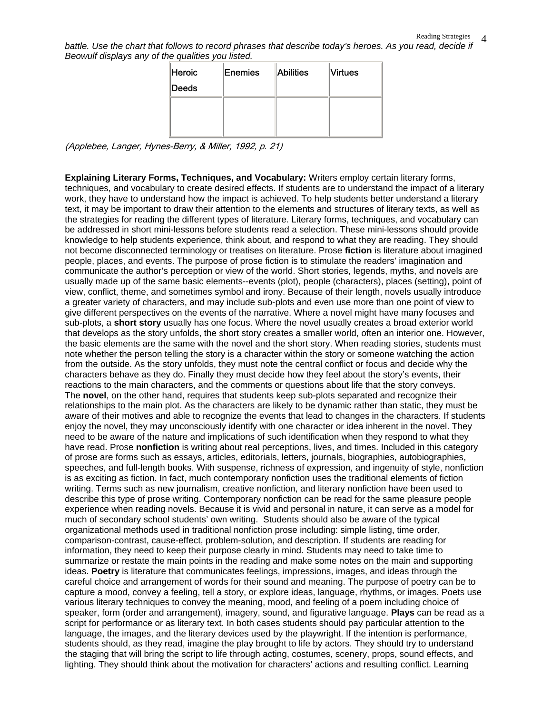battle. Use the chart that follows to record phrases that describe today's heroes. As you read, decide if *Beowulf displays any of the qualities you listed.*

| Heroic<br><b>Deeds</b> | ∥Enemies | Abilities | <b>Virtues</b> |
|------------------------|----------|-----------|----------------|
|                        |          |           |                |
|                        |          |           |                |

(Applebee, Langer, Hynes-Berry, & Miller, 1992, p. 21)

**Explaining Literary Forms, Techniques, and Vocabulary:** Writers employ certain literary forms, techniques, and vocabulary to create desired effects. If students are to understand the impact of a literary work, they have to understand how the impact is achieved. To help students better understand a literary text, it may be important to draw their attention to the elements and structures of literary texts, as well as the strategies for reading the different types of literature. Literary forms, techniques, and vocabulary can be addressed in short mini-lessons before students read a selection. These mini-lessons should provide knowledge to help students experience, think about, and respond to what they are reading. They should not become disconnected terminology or treatises on literature. Prose **fiction** is literature about imagined people, places, and events. The purpose of prose fiction is to stimulate the readers' imagination and communicate the author's perception or view of the world. Short stories, legends, myths, and novels are usually made up of the same basic elements--events (plot), people (characters), places (setting), point of view, conflict, theme, and sometimes symbol and irony. Because of their length, novels usually introduce a greater variety of characters, and may include sub-plots and even use more than one point of view to give different perspectives on the events of the narrative. Where a novel might have many focuses and sub-plots, a **short story** usually has one focus. Where the novel usually creates a broad exterior world that develops as the story unfolds, the short story creates a smaller world, often an interior one. However, the basic elements are the same with the novel and the short story. When reading stories, students must note whether the person telling the story is a character within the story or someone watching the action from the outside. As the story unfolds, they must note the central conflict or focus and decide why the characters behave as they do. Finally they must decide how they feel about the story's events, their reactions to the main characters, and the comments or questions about life that the story conveys. The **novel**, on the other hand, requires that students keep sub-plots separated and recognize their relationships to the main plot. As the characters are likely to be dynamic rather than static, they must be aware of their motives and able to recognize the events that lead to changes in the characters. If students enjoy the novel, they may unconsciously identify with one character or idea inherent in the novel. They need to be aware of the nature and implications of such identification when they respond to what they have read. Prose **nonfiction** is writing about real perceptions, lives, and times. Included in this category of prose are forms such as essays, articles, editorials, letters, journals, biographies, autobiographies, speeches, and full-length books. With suspense, richness of expression, and ingenuity of style, nonfiction is as exciting as fiction. In fact, much contemporary nonfiction uses the traditional elements of fiction writing. Terms such as new journalism, creative nonfiction, and literary nonfiction have been used to describe this type of prose writing. Contemporary nonfiction can be read for the same pleasure people experience when reading novels. Because it is vivid and personal in nature, it can serve as a model for much of secondary school students' own writing. Students should also be aware of the typical organizational methods used in traditional nonfiction prose including: simple listing, time order, comparison-contrast, cause-effect, problem-solution, and description. If students are reading for information, they need to keep their purpose clearly in mind. Students may need to take time to summarize or restate the main points in the reading and make some notes on the main and supporting ideas. **Poetry** is literature that communicates feelings, impressions, images, and ideas through the careful choice and arrangement of words for their sound and meaning. The purpose of poetry can be to capture a mood, convey a feeling, tell a story, or explore ideas, language, rhythms, or images. Poets use various literary techniques to convey the meaning, mood, and feeling of a poem including choice of speaker, form (order and arrangement), imagery, sound, and figurative language. **Plays** can be read as a script for performance or as literary text. In both cases students should pay particular attention to the language, the images, and the literary devices used by the playwright. If the intention is performance, students should, as they read, imagine the play brought to life by actors. They should try to understand the staging that will bring the script to life through acting, costumes, scenery, props, sound effects, and lighting. They should think about the motivation for characters' actions and resulting conflict. Learning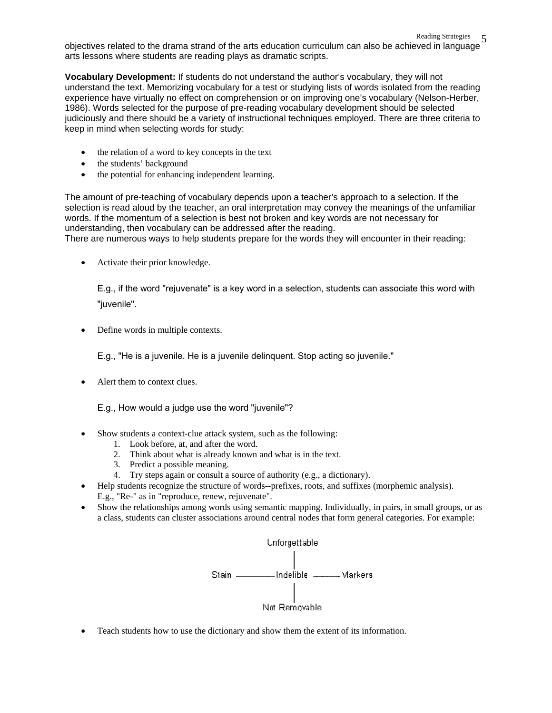Reading Strategies 5 objectives related to the drama strand of the arts education curriculum can also be achieved in language arts lessons where students are reading plays as dramatic scripts.

**Vocabulary Development:** If students do not understand the author's vocabulary, they will not understand the text. Memorizing vocabulary for a test or studying lists of words isolated from the reading experience have virtually no effect on comprehension or on improving one's vocabulary (Nelson-Herber, 1986). Words selected for the purpose of pre-reading vocabulary development should be selected judiciously and there should be a variety of instructional techniques employed. There are three criteria to keep in mind when selecting words for study:

- the relation of a word to key concepts in the text
- the students' background
- the potential for enhancing independent learning.

The amount of pre-teaching of vocabulary depends upon a teacher's approach to a selection. If the selection is read aloud by the teacher, an oral interpretation may convey the meanings of the unfamiliar words. If the momentum of a selection is best not broken and key words are not necessary for understanding, then vocabulary can be addressed after the reading.

There are numerous ways to help students prepare for the words they will encounter in their reading:

• Activate their prior knowledge.

E.g., if the word "rejuvenate" is a key word in a selection, students can associate this word with "juvenile".

Define words in multiple contexts.

E.g., "He is a juvenile. He is a juvenile delinquent. Stop acting so juvenile."

Alert them to context clues.

E.g., How would a judge use the word "juvenile"?

- Show students a context-clue attack system, such as the following:
	- 1. Look before, at, and after the word.
	- 2. Think about what is already known and what is in the text.
	- 3. Predict a possible meaning.
	- 4. Try steps again or consult a source of authority (e.g., a dictionary).
- Help students recognize the structure of words--prefixes, roots, and suffixes (morphemic analysis). E.g., "Re-" as in "reproduce, renew, rejuvenate".
- Show the relationships among words using semantic mapping. Individually, in pairs, in small groups, or as a class, students can cluster associations around central nodes that form general categories. For example:



• Teach students how to use the dictionary and show them the extent of its information.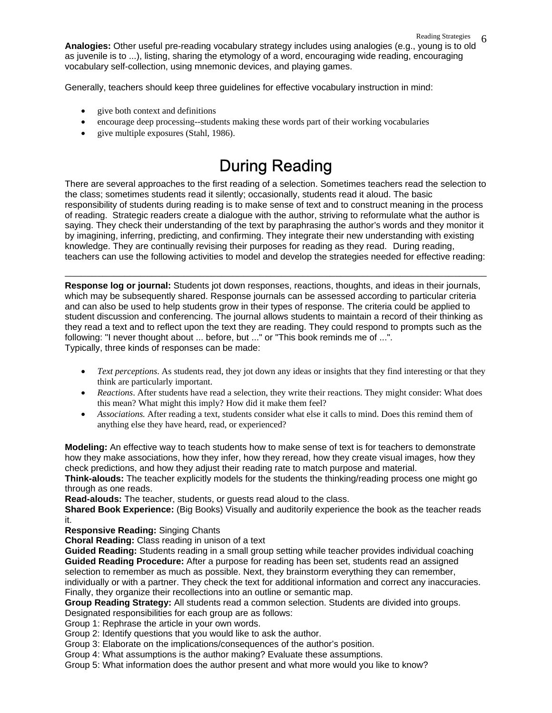Reading Strategies 6 **Analogies:** Other useful pre-reading vocabulary strategy includes using analogies (e.g., young is to old as juvenile is to ...), listing, sharing the etymology of a word, encouraging wide reading, encouraging vocabulary self-collection, using mnemonic devices, and playing games.

Generally, teachers should keep three guidelines for effective vocabulary instruction in mind:

- give both context and definitions
- encourage deep processing--students making these words part of their working vocabularies
- give multiple exposures (Stahl, 1986).

## During Reading

There are several approaches to the first reading of a selection. Sometimes teachers read the selection to the class; sometimes students read it silently; occasionally, students read it aloud. The basic responsibility of students during reading is to make sense of text and to construct meaning in the process of reading. Strategic readers create a dialogue with the author, striving to reformulate what the author is saying. They check their understanding of the text by paraphrasing the author's words and they monitor it by imagining, inferring, predicting, and confirming. They integrate their new understanding with existing knowledge. They are continually revising their purposes for reading as they read. During reading, teachers can use the following activities to model and develop the strategies needed for effective reading:

**Response log or journal:** Students jot down responses, reactions, thoughts, and ideas in their journals, which may be subsequently shared. Response journals can be assessed according to particular criteria and can also be used to help students grow in their types of response. The criteria could be applied to student discussion and conferencing. The journal allows students to maintain a record of their thinking as they read a text and to reflect upon the text they are reading. They could respond to prompts such as the following: "I never thought about ... before, but ..." or "This book reminds me of ...". Typically, three kinds of responses can be made:

\_\_\_\_\_\_\_\_\_\_\_\_\_\_\_\_\_\_\_\_\_\_\_\_\_\_\_\_\_\_\_\_\_\_\_\_\_\_\_\_\_\_\_\_\_\_\_\_\_\_\_\_\_\_\_\_\_\_\_\_\_\_\_\_\_\_\_\_\_\_\_\_\_\_\_\_\_\_

- *Text perceptions*. As students read, they jot down any ideas or insights that they find interesting or that they think are particularly important.
- *Reactions*. After students have read a selection, they write their reactions. They might consider: What does this mean? What might this imply? How did it make them feel?
- *Associations.* After reading a text, students consider what else it calls to mind. Does this remind them of anything else they have heard, read, or experienced?

**Modeling:** An effective way to teach students how to make sense of text is for teachers to demonstrate how they make associations, how they infer, how they reread, how they create visual images, how they check predictions, and how they adjust their reading rate to match purpose and material.

**Think-alouds:** The teacher explicitly models for the students the thinking/reading process one might go through as one reads.

**Read-alouds:** The teacher, students, or guests read aloud to the class.

**Shared Book Experience:** (Big Books) Visually and auditorily experience the book as the teacher reads it.

**Responsive Reading:** Singing Chants

**Choral Reading:** Class reading in unison of a text

**Guided Reading:** Students reading in a small group setting while teacher provides individual coaching **Guided Reading Procedure:** After a purpose for reading has been set, students read an assigned selection to remember as much as possible. Next, they brainstorm everything they can remember, individually or with a partner. They check the text for additional information and correct any inaccuracies.

Finally, they organize their recollections into an outline or semantic map.

**Group Reading Strategy:** All students read a common selection. Students are divided into groups.

Designated responsibilities for each group are as follows:

Group 1: Rephrase the article in your own words.

Group 2: Identify questions that you would like to ask the author.

Group 3: Elaborate on the implications/consequences of the author's position.

Group 4: What assumptions is the author making? Evaluate these assumptions.

Group 5: What information does the author present and what more would you like to know?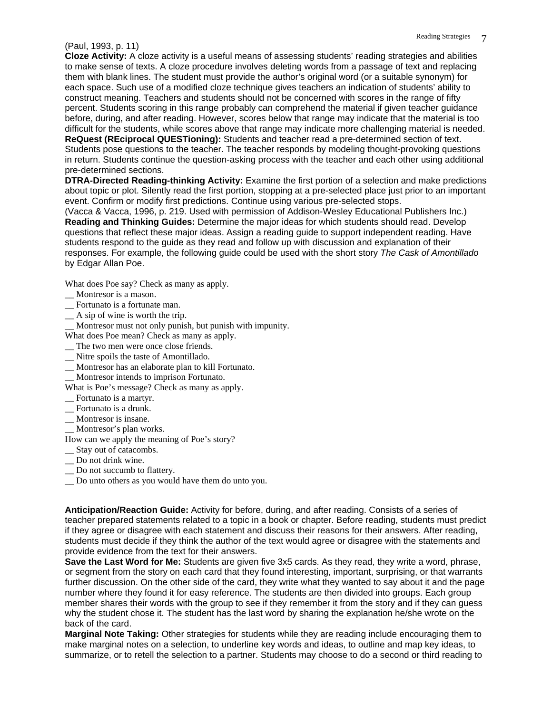### Reading Strategies 7 (Paul, 1993, p. 11)

**Cloze Activity:** A cloze activity is a useful means of assessing students' reading strategies and abilities to make sense of texts. A cloze procedure involves deleting words from a passage of text and replacing them with blank lines. The student must provide the author's original word (or a suitable synonym) for each space. Such use of a modified cloze technique gives teachers an indication of students' ability to construct meaning. Teachers and students should not be concerned with scores in the range of fifty percent. Students scoring in this range probably can comprehend the material if given teacher guidance before, during, and after reading. However, scores below that range may indicate that the material is too difficult for the students, while scores above that range may indicate more challenging material is needed.

**ReQuest (REciprocal QUESTioning):** Students and teacher read a pre-determined section of text. Students pose questions to the teacher. The teacher responds by modeling thought-provoking questions in return. Students continue the question-asking process with the teacher and each other using additional pre-determined sections.

**DTRA-Directed Reading-thinking Activity:** Examine the first portion of a selection and make predictions about topic or plot. Silently read the first portion, stopping at a pre-selected place just prior to an important event. Confirm or modify first predictions. Continue using various pre-selected stops.

(Vacca & Vacca, 1996, p. 219. Used with permission of Addison-Wesley Educational Publishers Inc.) **Reading and Thinking Guides:** Determine the major ideas for which students should read. Develop questions that reflect these major ideas. Assign a reading guide to support independent reading. Have students respond to the guide as they read and follow up with discussion and explanation of their responses. For example, the following guide could be used with the short story *The Cask of Amontillado* by Edgar Allan Poe.

What does Poe say? Check as many as apply.

- Montresor is a mason.
- \_\_ Fortunato is a fortunate man.
- \_\_ A sip of wine is worth the trip.
- \_\_ Montresor must not only punish, but punish with impunity.

What does Poe mean? Check as many as apply.

- \_\_ The two men were once close friends.
- \_\_ Nitre spoils the taste of Amontillado.
- \_\_ Montresor has an elaborate plan to kill Fortunato.
- \_\_ Montresor intends to imprison Fortunato.

What is Poe's message? Check as many as apply.

- \_\_ Fortunato is a martyr.
- \_\_ Fortunato is a drunk.
- \_\_ Montresor is insane.
- \_\_ Montresor's plan works.

How can we apply the meaning of Poe's story?

- \_\_ Stay out of catacombs.
- \_\_ Do not drink wine.
- \_\_ Do not succumb to flattery.
- \_\_ Do unto others as you would have them do unto you.

**Anticipation/Reaction Guide:** Activity for before, during, and after reading. Consists of a series of teacher prepared statements related to a topic in a book or chapter. Before reading, students must predict if they agree or disagree with each statement and discuss their reasons for their answers. After reading, students must decide if they think the author of the text would agree or disagree with the statements and provide evidence from the text for their answers.

**Save the Last Word for Me:** Students are given five 3x5 cards. As they read, they write a word, phrase, or segment from the story on each card that they found interesting, important, surprising, or that warrants further discussion. On the other side of the card, they write what they wanted to say about it and the page number where they found it for easy reference. The students are then divided into groups. Each group member shares their words with the group to see if they remember it from the story and if they can guess why the student chose it. The student has the last word by sharing the explanation he/she wrote on the back of the card.

**Marginal Note Taking:** Other strategies for students while they are reading include encouraging them to make marginal notes on a selection, to underline key words and ideas, to outline and map key ideas, to summarize, or to retell the selection to a partner. Students may choose to do a second or third reading to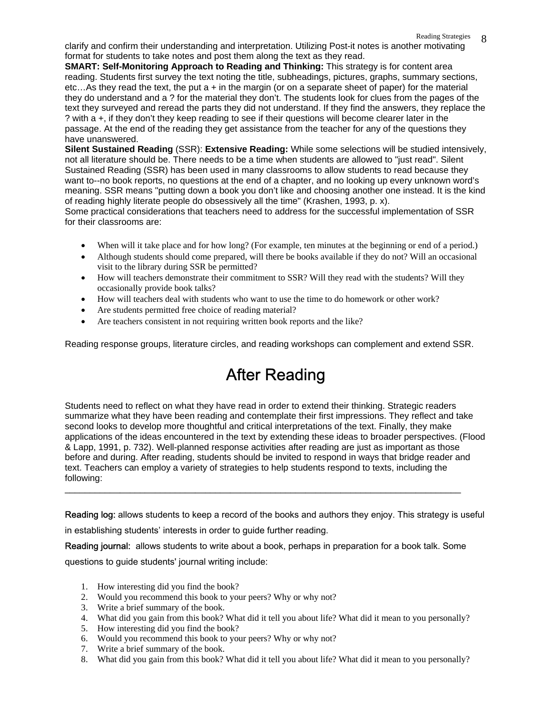Reading Strategies 8 clarify and confirm their understanding and interpretation. Utilizing Post-it notes is another motivating 8 format for students to take notes and post them along the text as they read.

**SMART: Self-Monitoring Approach to Reading and Thinking:** This strategy is for content area reading. Students first survey the text noting the title, subheadings, pictures, graphs, summary sections, etc...As they read the text, the put  $a + in$  the margin (or on a separate sheet of paper) for the material they do understand and a ? for the material they don't. The students look for clues from the pages of the text they surveyed and reread the parts they did not understand. If they find the answers, they replace the ? with a +, if they don't they keep reading to see if their questions will become clearer later in the passage. At the end of the reading they get assistance from the teacher for any of the questions they have unanswered.

**Silent Sustained Reading** (SSR): **Extensive Reading:** While some selections will be studied intensively, not all literature should be. There needs to be a time when students are allowed to "just read". Silent Sustained Reading (SSR) has been used in many classrooms to allow students to read because they want to--no book reports, no questions at the end of a chapter, and no looking up every unknown word's meaning. SSR means "putting down a book you don't like and choosing another one instead. It is the kind of reading highly literate people do obsessively all the time" (Krashen, 1993, p. x).

Some practical considerations that teachers need to address for the successful implementation of SSR for their classrooms are:

- When will it take place and for how long? (For example, ten minutes at the beginning or end of a period.)
- Although students should come prepared, will there be books available if they do not? Will an occasional visit to the library during SSR be permitted?
- How will teachers demonstrate their commitment to SSR? Will they read with the students? Will they occasionally provide book talks?
- How will teachers deal with students who want to use the time to do homework or other work?
- Are students permitted free choice of reading material?
- Are teachers consistent in not requiring written book reports and the like?

Reading response groups, literature circles, and reading workshops can complement and extend SSR.

# After Reading

Students need to reflect on what they have read in order to extend their thinking. Strategic readers summarize what they have been reading and contemplate their first impressions. They reflect and take second looks to develop more thoughtful and critical interpretations of the text. Finally, they make applications of the ideas encountered in the text by extending these ideas to broader perspectives. (Flood & Lapp, 1991, p. 732). Well-planned response activities after reading are just as important as those before and during. After reading, students should be invited to respond in ways that bridge reader and text. Teachers can employ a variety of strategies to help students respond to texts, including the following:

Reading log: allows students to keep a record of the books and authors they enjoy. This strategy is useful

in establishing students' interests in order to guide further reading.

Reading journal: allows students to write about a book, perhaps in preparation for a book talk. Some questions to guide students' journal writing include:

\_\_\_\_\_\_\_\_\_\_\_\_\_\_\_\_\_\_\_\_\_\_\_\_\_\_\_\_\_\_\_\_\_\_\_\_\_\_\_\_\_\_\_\_\_\_\_\_\_\_\_\_\_\_\_\_\_\_\_\_\_\_\_\_\_\_\_\_\_\_\_\_\_\_\_\_\_\_\_

- 1. How interesting did you find the book?
- 2. Would you recommend this book to your peers? Why or why not?
- 3. Write a brief summary of the book.
- 4. What did you gain from this book? What did it tell you about life? What did it mean to you personally?
- 5. How interesting did you find the book?
- 6. Would you recommend this book to your peers? Why or why not?
- 7. Write a brief summary of the book.
- 8. What did you gain from this book? What did it tell you about life? What did it mean to you personally?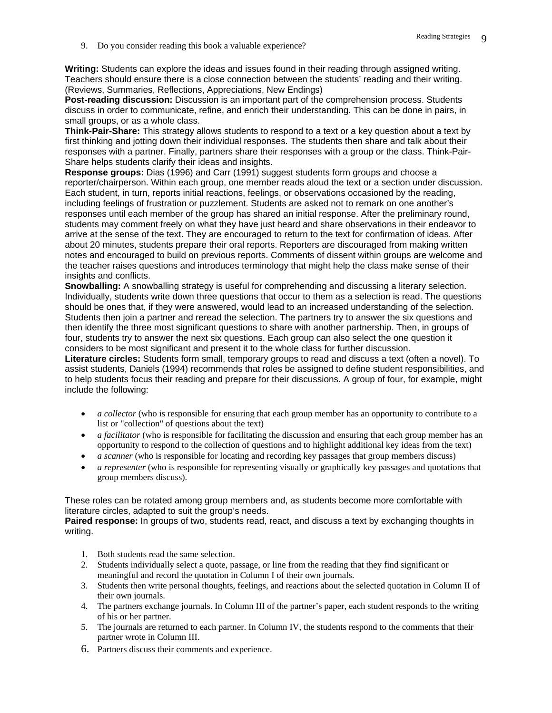9. Do you consider reading this book a valuable experience?

**Writing:** Students can explore the ideas and issues found in their reading through assigned writing. Teachers should ensure there is a close connection between the students' reading and their writing. (Reviews, Summaries, Reflections, Appreciations, New Endings)

**Post-reading discussion:** Discussion is an important part of the comprehension process. Students discuss in order to communicate, refine, and enrich their understanding. This can be done in pairs, in small groups, or as a whole class.

**Think-Pair-Share:** This strategy allows students to respond to a text or a key question about a text by first thinking and jotting down their individual responses. The students then share and talk about their responses with a partner. Finally, partners share their responses with a group or the class. Think-Pair-Share helps students clarify their ideas and insights.

**Response groups:** Dias (1996) and Carr (1991) suggest students form groups and choose a reporter/chairperson. Within each group, one member reads aloud the text or a section under discussion. Each student, in turn, reports initial reactions, feelings, or observations occasioned by the reading, including feelings of frustration or puzzlement. Students are asked not to remark on one another's responses until each member of the group has shared an initial response. After the preliminary round, students may comment freely on what they have just heard and share observations in their endeavor to arrive at the sense of the text. They are encouraged to return to the text for confirmation of ideas. After about 20 minutes, students prepare their oral reports. Reporters are discouraged from making written notes and encouraged to build on previous reports. Comments of dissent within groups are welcome and the teacher raises questions and introduces terminology that might help the class make sense of their insights and conflicts.

**Snowballing:** A snowballing strategy is useful for comprehending and discussing a literary selection. Individually, students write down three questions that occur to them as a selection is read. The questions should be ones that, if they were answered, would lead to an increased understanding of the selection. Students then join a partner and reread the selection. The partners try to answer the six questions and then identify the three most significant questions to share with another partnership. Then, in groups of four, students try to answer the next six questions. Each group can also select the one question it considers to be most significant and present it to the whole class for further discussion.

**Literature circles:** Students form small, temporary groups to read and discuss a text (often a novel). To assist students, Daniels (1994) recommends that roles be assigned to define student responsibilities, and to help students focus their reading and prepare for their discussions. A group of four, for example, might include the following:

- *a collector* (who is responsible for ensuring that each group member has an opportunity to contribute to a list or "collection" of questions about the text)
- *a facilitator* (who is responsible for facilitating the discussion and ensuring that each group member has an opportunity to respond to the collection of questions and to highlight additional key ideas from the text)
- *a scanner* (who is responsible for locating and recording key passages that group members discuss)
- *a representer* (who is responsible for representing visually or graphically key passages and quotations that group members discuss).

These roles can be rotated among group members and, as students become more comfortable with literature circles, adapted to suit the group's needs.

**Paired response:** In groups of two, students read, react, and discuss a text by exchanging thoughts in writing.

- 1. Both students read the same selection.
- 2. Students individually select a quote, passage, or line from the reading that they find significant or meaningful and record the quotation in Column I of their own journals.
- 3. Students then write personal thoughts, feelings, and reactions about the selected quotation in Column II of their own journals.
- 4. The partners exchange journals. In Column III of the partner's paper, each student responds to the writing of his or her partner.
- 5. The journals are returned to each partner. In Column IV, the students respond to the comments that their partner wrote in Column III.
- 6. Partners discuss their comments and experience.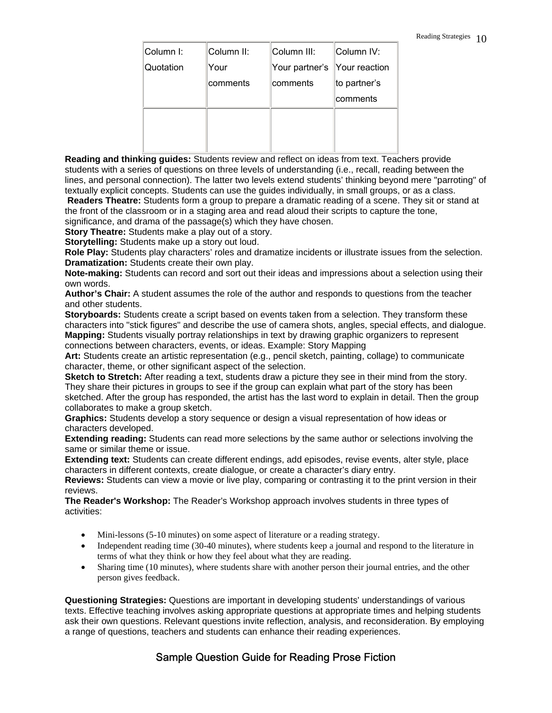| Column I: | Column II: | Column III:                  | ∥Column IV:   |
|-----------|------------|------------------------------|---------------|
| Quotation | Your       | Your partner's Your reaction |               |
|           | comments   | comments                     | ∥to partner's |
|           |            |                              | ∣comments     |
|           |            |                              |               |
|           |            |                              |               |
|           |            |                              |               |

**Reading and thinking guides:** Students review and reflect on ideas from text. Teachers provide students with a series of questions on three levels of understanding (i.e., recall, reading between the lines, and personal connection). The latter two levels extend students' thinking beyond mere "parroting" of textually explicit concepts. Students can use the guides individually, in small groups, or as a class.

**Readers Theatre:** Students form a group to prepare a dramatic reading of a scene. They sit or stand at the front of the classroom or in a staging area and read aloud their scripts to capture the tone,

significance, and drama of the passage(s) which they have chosen.

**Story Theatre:** Students make a play out of a story.

**Storytelling:** Students make up a story out loud.

**Role Play:** Students play characters' roles and dramatize incidents or illustrate issues from the selection. **Dramatization:** Students create their own play.

**Note-making:** Students can record and sort out their ideas and impressions about a selection using their own words.

**Author's Chair:** A student assumes the role of the author and responds to questions from the teacher and other students.

**Storyboards:** Students create a script based on events taken from a selection. They transform these characters into "stick figures" and describe the use of camera shots, angles, special effects, and dialogue. **Mapping:** Students visually portray relationships in text by drawing graphic organizers to represent connections between characters, events, or ideas. Example: Story Mapping

**Art:** Students create an artistic representation (e.g., pencil sketch, painting, collage) to communicate character, theme, or other significant aspect of the selection.

**Sketch to Stretch:** After reading a text, students draw a picture they see in their mind from the story. They share their pictures in groups to see if the group can explain what part of the story has been sketched. After the group has responded, the artist has the last word to explain in detail. Then the group collaborates to make a group sketch.

**Graphics:** Students develop a story sequence or design a visual representation of how ideas or characters developed.

**Extending reading:** Students can read more selections by the same author or selections involving the same or similar theme or issue.

**Extending text:** Students can create different endings, add episodes, revise events, alter style, place characters in different contexts, create dialogue, or create a character's diary entry.

**Reviews:** Students can view a movie or live play, comparing or contrasting it to the print version in their reviews.

**The Reader's Workshop:** The Reader's Workshop approach involves students in three types of activities:

- Mini-lessons (5-10 minutes) on some aspect of literature or a reading strategy.
- Independent reading time (30-40 minutes), where students keep a journal and respond to the literature in terms of what they think or how they feel about what they are reading.
- Sharing time (10 minutes), where students share with another person their journal entries, and the other person gives feedback.

**Questioning Strategies:** Questions are important in developing students' understandings of various texts. Effective teaching involves asking appropriate questions at appropriate times and helping students ask their own questions. Relevant questions invite reflection, analysis, and reconsideration. By employing a range of questions, teachers and students can enhance their reading experiences.

#### Sample Question Guide for Reading Prose Fiction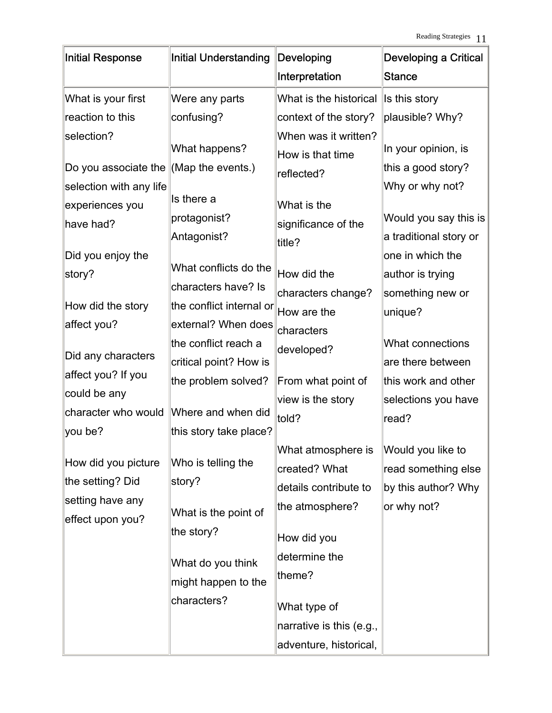| Initial Response        | <b>Initial Understanding</b> | Developing                               | <b>Developing a Critical</b> |
|-------------------------|------------------------------|------------------------------------------|------------------------------|
|                         |                              | Interpretation                           | <b>Stance</b>                |
| What is your first      | Were any parts               | What is the historical                   | Is this story                |
| reaction to this        | confusing?                   | context of the story?                    | plausible? Why?              |
| selection?              | What happens?                | When was it written?<br>How is that time | In your opinion, is          |
| Do you associate the    | (Map the events.)            | reflected?                               | this a good story?           |
| selection with any life |                              |                                          | Why or why not?              |
| experiences you         | Is there a                   | What is the                              |                              |
| have had?               | protagonist?                 | significance of the                      | Would you say this is        |
|                         | Antagonist?                  | title?                                   | a traditional story or       |
| Did you enjoy the       | What conflicts do the        |                                          | one in which the             |
| story?                  | characters have? Is          | How did the                              | author is trying             |
|                         |                              | characters change?                       | something new or             |
| How did the story       | the conflict internal or     | How are the                              | unique?                      |
| affect you?             | external? When does          | characters                               |                              |
| Did any characters      | the conflict reach a         | developed?                               | What connections             |
| affect you? If you      | critical point? How is       |                                          | are there between            |
| could be any            | the problem solved?          | From what point of                       | this work and other          |
| character who would     | Where and when did           | view is the story                        | selections you have          |
| you be?                 | this story take place?       | told?                                    | read?                        |
|                         |                              | What atmosphere is Would you like to     |                              |
| How did you picture     | Who is telling the           |                                          |                              |
| the setting? Did        | story?                       | created? What                            | read something else          |
| setting have any        |                              | details contribute to                    | by this author? Why          |
| effect upon you?        | What is the point of         | the atmosphere?                          | or why not?                  |
|                         | the story?                   | How did you                              |                              |
|                         | What do you think            | determine the                            |                              |
|                         | might happen to the          | theme?                                   |                              |
|                         | characters?                  | What type of                             |                              |
|                         |                              | narrative is this (e.g.,                 |                              |
|                         |                              | adventure, historical,                   |                              |